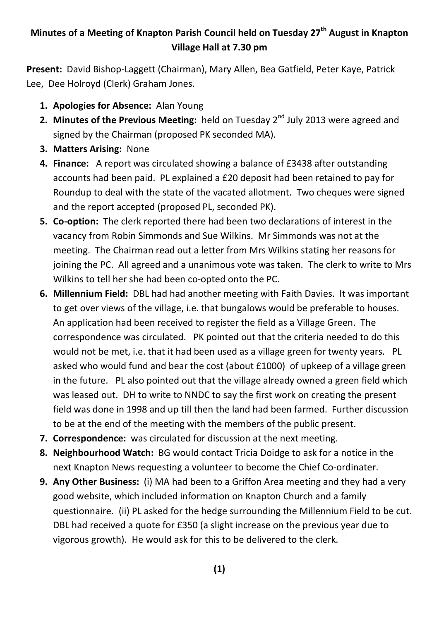## **Minutes of a Meeting of Knapton Parish Council held on Tuesday 27th August in Knapton Village Hall at 7.30 pm**

**Present:** David Bishop-Laggett (Chairman), Mary Allen, Bea Gatfield, Peter Kaye, Patrick Lee, Dee Holroyd (Clerk) Graham Jones.

- **1. Apologies for Absence:** Alan Young
- 2. Minutes of the Previous Meeting: held on Tuesday 2<sup>nd</sup> July 2013 were agreed and signed by the Chairman (proposed PK seconded MA).
- **3. Matters Arising:** None
- **4. Finance:** A report was circulated showing a balance of £3438 after outstanding accounts had been paid. PL explained a £20 deposit had been retained to pay for Roundup to deal with the state of the vacated allotment. Two cheques were signed and the report accepted (proposed PL, seconded PK).
- **5. Co-option:** The clerk reported there had been two declarations of interest in the vacancy from Robin Simmonds and Sue Wilkins. Mr Simmonds was not at the meeting. The Chairman read out a letter from Mrs Wilkins stating her reasons for joining the PC. All agreed and a unanimous vote was taken. The clerk to write to Mrs Wilkins to tell her she had been co-opted onto the PC.
- **6. Millennium Field:** DBL had had another meeting with Faith Davies. It was important to get over views of the village, i.e. that bungalows would be preferable to houses. An application had been received to register the field as a Village Green. The correspondence was circulated. PK pointed out that the criteria needed to do this would not be met, i.e. that it had been used as a village green for twenty years. PL asked who would fund and bear the cost (about £1000) of upkeep of a village green in the future. PL also pointed out that the village already owned a green field which was leased out. DH to write to NNDC to say the first work on creating the present field was done in 1998 and up till then the land had been farmed. Further discussion to be at the end of the meeting with the members of the public present.
- **7. Correspondence:** was circulated for discussion at the next meeting.
- **8. Neighbourhood Watch:** BG would contact Tricia Doidge to ask for a notice in the next Knapton News requesting a volunteer to become the Chief Co-ordinater.
- **9. Any Other Business:** (i) MA had been to a Griffon Area meeting and they had a very good website, which included information on Knapton Church and a family questionnaire. (ii) PL asked for the hedge surrounding the Millennium Field to be cut. DBL had received a quote for £350 (a slight increase on the previous year due to vigorous growth). He would ask for this to be delivered to the clerk.